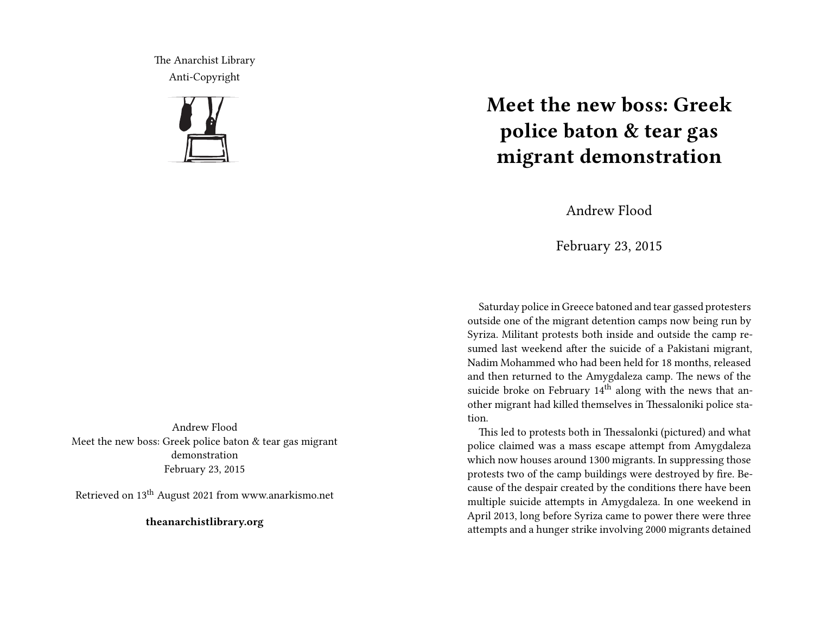The Anarchist Library Anti-Copyright



Andrew Flood Meet the new boss: Greek police baton & tear gas migrant demonstration February 23, 2015

Retrieved on 13th August 2021 from www.anarkismo.net

**theanarchistlibrary.org**

## **Meet the new boss: Greek police baton & tear gas migrant demonstration**

Andrew Flood

February 23, 2015

Saturday police in Greece batoned and tear gassed protesters outside one of the migrant detention camps now being run by Syriza. Militant protests both inside and outside the camp resumed last weekend after the suicide of a Pakistani migrant, Nadim Mohammed who had been held for 18 months, released and then returned to the Amygdaleza camp. The news of the suicide broke on February 14<sup>th</sup> along with the news that another migrant had killed themselves in Thessaloniki police station.

This led to protests both in Thessalonki (pictured) and what police claimed was a mass escape attempt from Amygdaleza which now houses around 1300 migrants. In suppressing those protests two of the camp buildings were destroyed by fire. Because of the despair created by the conditions there have been multiple suicide attempts in Amygdaleza. In one weekend in April 2013, long before Syriza came to power there were three attempts and a hunger strike involving 2000 migrants detained